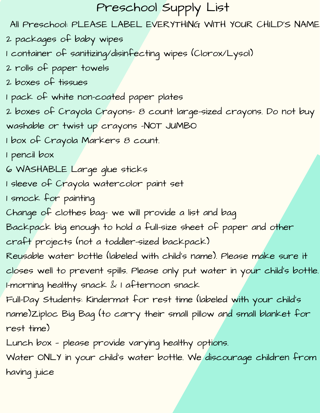# Preschool Supply List

All Preschool: PLEASE LABEL EVERYTHING WITH YOUR CHILD'S NAME

2 packages of baby wipes

1 container of sanitizing/disinfecting wipes (Clorox/Lysol)

2 rolls of paper towels

2 boxes of tissues

1 pack of white non-coated paper plates

2 boxes of Crayola Crayons- 8 count large-sized crayons. Do not buy washable or twist up crayons -NOT JUMBO

1 box of Crayola Markers 8 count.

1 pencil box

6 WASHABLE Large glue sticks

1 sleeve of Crayola watercolor paint set

1 smock for painting

Change of clothes bag- we will provide a list and bag

Backpack big enough to hold a full-size sheet of paper and other

craft projects (not a toddler-sized backpack)

Reusable water bottle (labeled with child's name). Please make sure it closes well to prevent spills. Please only put water in your child's bottle. 1-morning healthy snack & 1 afternoon snack

Full-Day Students: Kindermat for rest time (labeled with your child's name)Ziploc Big Bag (to carry their small pillow and small blanket for rest time)

Lunch box — please provide varying healthy options.

Water ONLY in your child's water bottle. We discourage children from having juice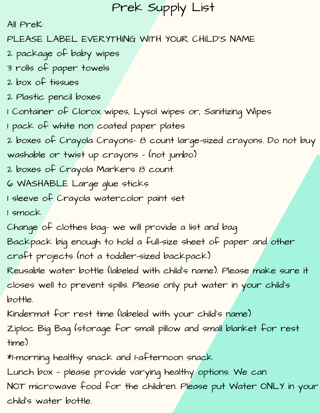# Prek Supply List

All PreK:

PLEASE LABEL EVERYTHING WITH YOUR CHILD'S NAME

- 2 package of baby wipes
- 3 rolls of paper towels
- 2 box of tissues
- 2 Plastic pencil boxes
- 1 Container of Clorox wipes, Lysol wipes or, Sanitizing Wipes
- 1 pack of white non coated paper plates
- 2 boxes of Crayola Crayons- 8 count large-sized crayons. Do not buy
- washable or twist up crayons (not jumbo)
- 2 boxes of Crayola Markers 8 count.
- 6 WASHABLE Large glue sticks
- 1 sleeve of Crayola watercolor paint set
- 1 smock
- Change of clothes bag- we will provide a list and bag
- Backpack big enough to hold a full-size sheet of paper and other
- craft projects (not a toddler-sized backpack)
- Reusable water bottle (labeled with child's name). Please make sure it closes well to prevent spills. Please only put water in your child's bottle.
- Kindermat for rest time (labeled with your child's name)
- Ziploc Big Bag (storage for small pillow and small blanket for rest time)
- \*1-morning healthy snack and 1-afternoon snack
- Lunch box please provide varying healthy options. We can
- NOT microwave food for the children. Please put Water ONLY in your child's water bottle.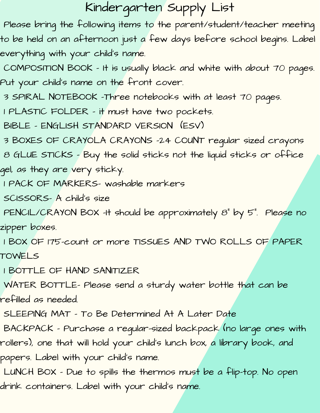# Kindergarten Supply List

Please bring the following items to the parent/student/teacher meeting to be held on an afternoon just a few days before school begins. Label everything with your child's name.

COMPOSITION BOOK – It is usually black and white with about 70 pages. Put your child's name on the front cover.

3 SPIRAL NOTEBOOK –Three notebooks with at least 70 pages.

1 PLASTIC FOLDER – it must have two pockets.

BIBLE – ENGLISH STANDARD VERSION (ESV)

3 BOXES OF CRAYOLA CRAYONS –24 COUNT regular sized crayons

8 GLUE STICKS – Buy the solid sticks not the liquid sticks or office gel, as they are very sticky.

1 PACK OF MARKERS- washable markers

SCISSORS- A child's size

PENCIL/CRAYON BOX –It should be approximately 8" by 5". Please no zipper boxes.

1 BOX OF 175-count or more TISSUES AND TWO ROLLS OF PAPER TOWELS

1 BOTTLE OF HAND SANITIZER

WATER BOTTLE- Please send a sturdy water bottle that can be

refilled as needed.

SLEEPING MAT – To Be Determined At A Later Date

BACKPACK – Purchase a regular-sized backpack (no large ones with rollers), one that will hold your child's lunch box, a library book, and papers. Label with your child's name.

LUNCH BOX – Due to spills the thermos must be a flip-top. No open drink containers. Label with your child's name.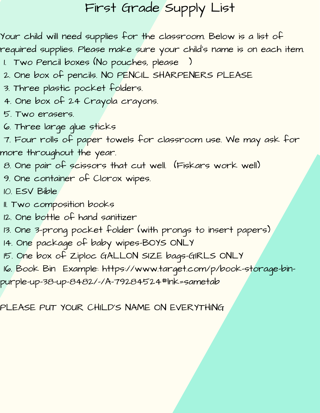# First Grade Supply List

Your child will need supplies for the classroom. Below is a list of required supplies. Please make sure your child's name is on each item.

- 1. Two Pencil boxes (No pouches, please
- 2. One box of pencils. NO PENCIL SHARPENERS PLEASE
- 3. Three plastic pocket folders.
- 4. One box of 24 Crayola crayons.
- 5. Two erasers.
- 6. Three large glue sticks

7. Four rolls of paper towels for classroom use. We may ask for more throughout the year.

- 8. One pair of scissors that cut well. (Fiskars work well)
- 9. One container of Clorox wipes.
- 10. ESV Bible
- 11. Two composition books
- 12. One bottle of hand sanitizer
- 13. One 3-prong pocket folder (with prongs to insert papers)
- 14. One package of baby wipes-BOYS ONLY
- 15. One box of Ziploc GALLON SIZE bags-GIRLS ONLY
- [16. Book Bin Example: https://www.target.com/p/book-storage-bin-](https://www.target.com/p/book-storage-bin-purple-up-38-up-8482/-/A-79284524#lnk=sametab)

purple-up-38-up-8482/-/A-79284524#lnk=sametab

PLEASE PUT YOUR CHILD'S NAME ON EVERYTHING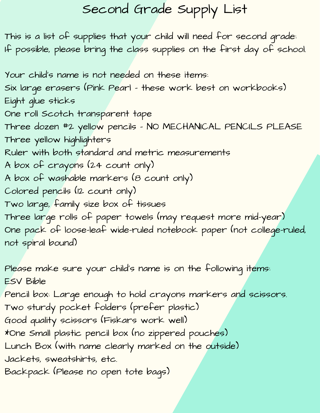# Second Grade Supply List

This is a list of supplies that your child will need for second grade: If possible, please bring the class supplies on the first day of school.

Your child's name is not needed on these items: Six large erasers (Pink Pearl – these work best on workbooks) Eight glue sticks One roll Scotch transparent tape Three dozen #2 yellow pencils – NO MECHANICAL PENCILS PLEASE Three yellow highlighters Ruler with both standard and metric measurements A box of crayons (24 count only) A box of washable markers (8 count only) Colored pencils (12 count only) Two large, family size box of tissues Three large rolls of paper towels (may request more mid-year) One pack of loose-leaf wide-ruled notebook paper (not college-ruled, not spiral bound)

Please make sure your child's name is on the following items: ESV Bible

Pencil box: Large enough to hold crayons markers and scissors. Two sturdy pocket folders (prefer plastic) Good quality scissors (Fiskars work well)

\*One Small plastic pencil box (no zippered pouches)

Lunch Box (with name clearly marked on the outside)

Jackets, sweatshirts, etc.

Backpack (Please no open tote bags)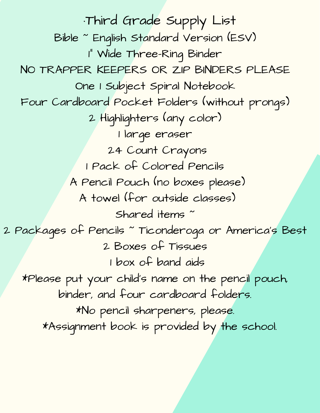·Third Grade Supply List Bible ~ English Standard Version (ESV) 1" Wide Three-Ring Binder NO TRAPPER KEEPERS OR ZIP BINDERS PLEASE One 1 Subject Spiral Notebook Four Cardboard Pocket Folders (without prongs) 2 Highlighters (any color) 1 large eraser 24 Count Crayons 1 Pack of Colored Pencils A Pencil Pouch (no boxes please) A towel (for outside classes) Shared items ~ 2 Packages of Pencils ~ Ticonderoga or America's Best 2 Boxes of Tissues 1 box of band aids \*Please put your child's name on the pencil pouch, binder, and four cardboard folders. \*No pencil sharpeners, please. \*Assignment book is provided by the school.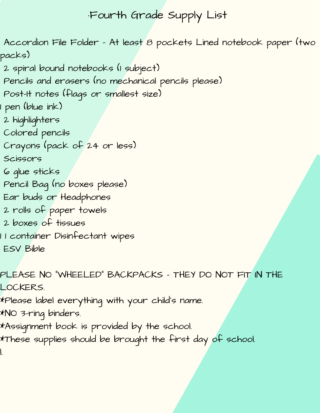## ·Fourth Grade Supply List

Accordion File Folder – At least 8 pockets Lined notebook paper (two packs)

- 2 spiral bound notebooks (1 subject)
- Pencils and erasers (no mechanical pencils please)
- Post-It notes (flags or smallest size)
- 1 pen (blue ink)
- 2 highlighters
- Colored pencils
- Crayons (pack of 24 or less)
- Scissors
- 6 glue sticks
- Pencil Bag (no boxes please)
- Ear buds or Headphones
- 2 rolls of paper towels
- 2 boxes of tissues
- 1 1 container Disinfectant wipes ESV Bible

PLEASE NO "WHEELED" BACKPACKS – THEY DO NOT FIT IN THE LOCKERS.

- \*Please label everything with your child's name.
- \*NO 3-ring binders.
- \*Assignment book is provided by the school.
- \*These supplies should be brought the first day of school. l.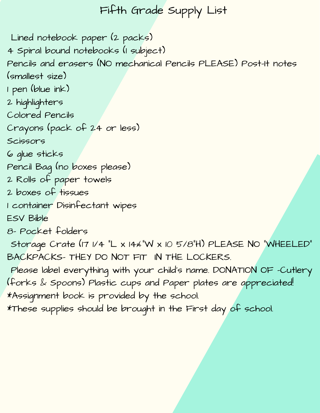## Fifth Grade Supply List

Lined notebook paper (2 packs) 4 Spiral bound notebooks (1 subject) Pencils and erasers (NO mechanical Pencils PLEASE) Post-It notes (smallest size) 1 pen (blue ink) 2 highlighters Colored Pencils Crayons (pack of 24 or less) Scissors 6 glue sticks Pencil Bag (no boxes please) 2 Rolls of paper towels 2 boxes of tissues 1 container Disinfectant wipes ESV Bible 8- Pocket folders Storage Crate (17 1/4 "L x 14¼"W x 10 5/8"H) PLEASE NO "WHEELED" BACKPACKS- THEY DO NOT FIT IN THE LOCKERS. Please label everything with your child's name. DONATION OF -Cutlery (forks & Spoons) Plastic cups and Paper plates are appreciated! \*Assignment book is provided by the school.

\*These supplies should be brought in the First day of school.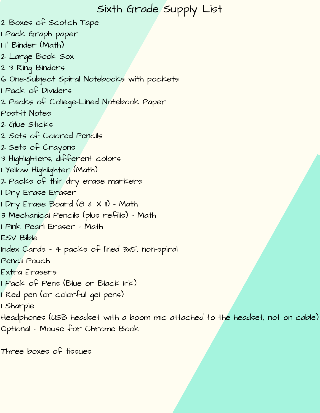### Sixth Grade Supply List

- Boxes of Scotch Tape
- Pack Graph paper
- 1" Binder (Math)
- Large Book Sox
- 3 Ring Binders
- One-Subject Spiral Notebooks with pockets
- Pack of Dividers
- Packs of College-Lined Notebook Paper
- Post-it Notes
- Glue Sticks
- Sets of Colored Pencils
- Sets of Crayons
- Highlighters, different colors
- Yellow Highlighter (Math)
- Packs of thin dry erase markers
- 1 Dry Erase Er<mark>aser</mark>
- Dry Erase Board (8 ½ X 11) Math
- Mechanical Pencils (plus refills) Math
- Pink Pearl Eraser Math
- ESV Bible
- Index Cards 4 packs of lined 3x5, non-spiral
- Pencil Pouch
- Extra Erasers
- Pack of Pens (Blue or Black Ink)
- Red pen (or colorful gel pens)
- Sharpie
- Headphones (USB headset with a boom mic attached to the headset, not on cable) Optional – Mouse for Chrome Book
- Three boxes of tissues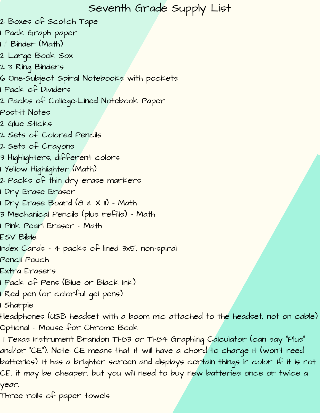## Seventh Grade Supply List

- 2 Boxes of Scotch Tape
- 1 Pack Graph paper
- 1 1" Binder (Math)
- 2 Large Book Sox
- 2 3 Ring Binders
- 6 One-Subject Spiral Notebooks with pockets
- 1 Pack of Dividers
- 2 Packs of College-Lined Notebook Paper
- Post-it Notes
- 2 Glue Sticks
- 2 Sets of Colored Pencils
- 2 Sets of Crayons
- 3 Highlighters, different colors
- 1 Yellow Highlighter (Math)
- 2 Packs of thin dry erase markers
- 1 Dry Erase Eraser
- 1 Dry Erase Board (8 ½ X 11) Math
- 3 Mechanical Pencils (plus refills) Math
- 1 Pink Pearl Eraser Math
- ESV Bible
- Index Cards 4 packs of lined 3x5, non-spiral
- Pencil Pouch
- Extra Erasers
- 1 Pack of Pens (Blue or Black Ink)
- 1 Red pen (or colorful gel pens)
- 1 Sharpie
- Headphones (USB headset with a boom mic attached to the headset, not on cable) Optional – Mouse for Chrome Book
- 1 Texas Instrument Brandon Tl-83 or Tl-84 Graphing Calculator (can say "Plus" and/or "CE"). Note: CE means that it will have a chord to charge it (won't need batteries). It has a brighter screen and displays certain things in color. If it is not CE, it may be cheaper, but you will need to buy new batteries once or twice a year.
- Three rolls of paper towels